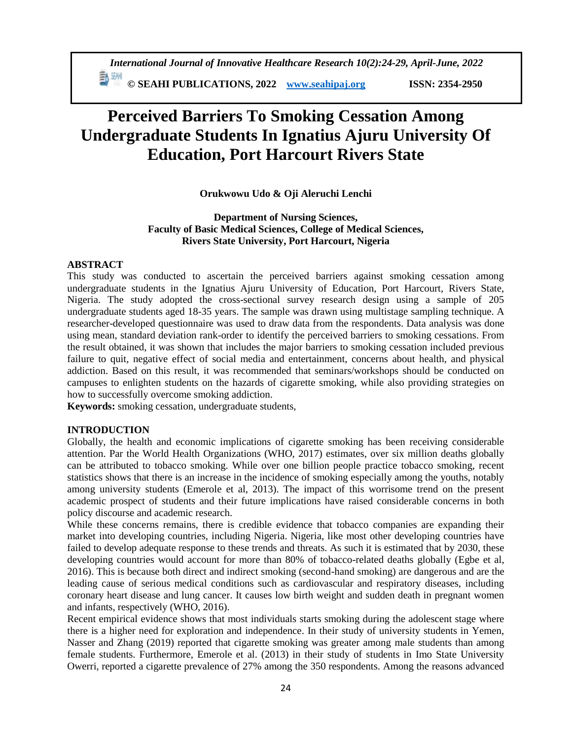# **Perceived Barriers To Smoking Cessation Among Undergraduate Students In Ignatius Ajuru University Of Education, Port Harcourt Rivers State**

# **Orukwowu Udo & Oji Aleruchi Lenchi**

**Department of Nursing Sciences, Faculty of Basic Medical Sciences, College of Medical Sciences, Rivers State University, Port Harcourt, Nigeria**

## **ABSTRACT**

This study was conducted to ascertain the perceived barriers against smoking cessation among undergraduate students in the Ignatius Ajuru University of Education, Port Harcourt, Rivers State, Nigeria. The study adopted the cross-sectional survey research design using a sample of 205 undergraduate students aged 18-35 years. The sample was drawn using multistage sampling technique. A researcher-developed questionnaire was used to draw data from the respondents. Data analysis was done using mean, standard deviation rank-order to identify the perceived barriers to smoking cessations. From the result obtained, it was shown that includes the major barriers to smoking cessation included previous failure to quit, negative effect of social media and entertainment, concerns about health, and physical addiction. Based on this result, it was recommended that seminars/workshops should be conducted on campuses to enlighten students on the hazards of cigarette smoking, while also providing strategies on how to successfully overcome smoking addiction.

**Keywords:** smoking cessation, undergraduate students,

## **INTRODUCTION**

Globally, the health and economic implications of cigarette smoking has been receiving considerable attention. Par the World Health Organizations (WHO, 2017) estimates, over six million deaths globally can be attributed to tobacco smoking. While over one billion people practice tobacco smoking, recent statistics shows that there is an increase in the incidence of smoking especially among the youths, notably among university students (Emerole et al, 2013). The impact of this worrisome trend on the present academic prospect of students and their future implications have raised considerable concerns in both policy discourse and academic research.

While these concerns remains, there is credible evidence that tobacco companies are expanding their market into developing countries, including Nigeria. Nigeria, like most other developing countries have failed to develop adequate response to these trends and threats. As such it is estimated that by 2030, these developing countries would account for more than 80% of tobacco-related deaths globally (Egbe et al, 2016). This is because both direct and indirect smoking (second-hand smoking) are dangerous and are the leading cause of serious medical conditions such as cardiovascular and respiratory diseases, including coronary heart disease and lung cancer. It causes low birth weight and sudden death in pregnant women and infants, respectively (WHO, 2016).

Recent empirical evidence shows that most individuals starts smoking during the adolescent stage where there is a higher need for exploration and independence. In their study of university students in Yemen, Nasser and Zhang (2019) reported that cigarette smoking was greater among male students than among female students. Furthermore, Emerole et al. (2013) in their study of students in Imo State University Owerri, reported a cigarette prevalence of 27% among the 350 respondents. Among the reasons advanced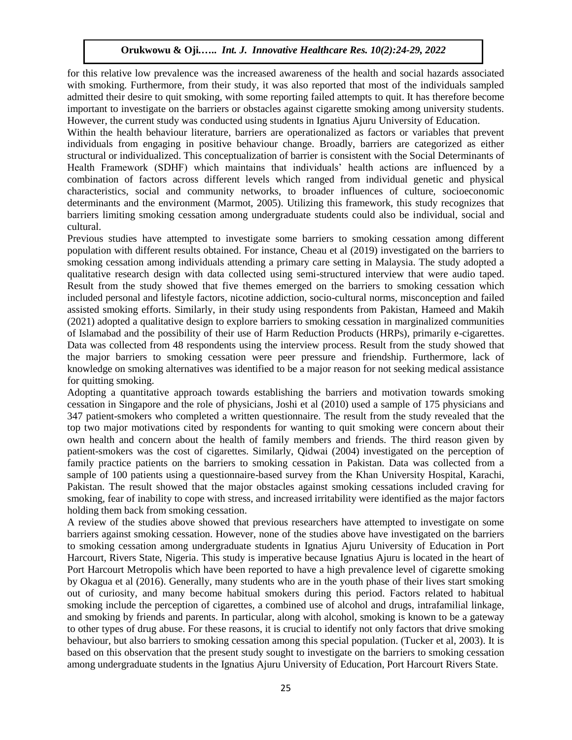## **Orukwowu & Oji***.***…..** *Int. J. Innovative Healthcare Res. 10(2):24-29, 2022*

for this relative low prevalence was the increased awareness of the health and social hazards associated with smoking. Furthermore, from their study, it was also reported that most of the individuals sampled admitted their desire to quit smoking, with some reporting failed attempts to quit. It has therefore become important to investigate on the barriers or obstacles against cigarette smoking among university students. However, the current study was conducted using students in Ignatius Ajuru University of Education.

Within the health behaviour literature, barriers are operationalized as factors or variables that prevent individuals from engaging in positive behaviour change. Broadly, barriers are categorized as either structural or individualized. This conceptualization of barrier is consistent with the Social Determinants of Health Framework (SDHF) which maintains that individuals' health actions are influenced by a combination of factors across different levels which ranged from individual genetic and physical characteristics, social and community networks, to broader influences of culture, socioeconomic determinants and the environment (Marmot, 2005). Utilizing this framework, this study recognizes that barriers limiting smoking cessation among undergraduate students could also be individual, social and cultural.

Previous studies have attempted to investigate some barriers to smoking cessation among different population with different results obtained. For instance, Cheau et al (2019) investigated on the barriers to smoking cessation among individuals attending a primary care setting in Malaysia. The study adopted a qualitative research design with data collected using semi-structured interview that were audio taped. Result from the study showed that five themes emerged on the barriers to smoking cessation which included personal and lifestyle factors, nicotine addiction, socio-cultural norms, misconception and failed assisted smoking efforts. Similarly, in their study using respondents from Pakistan, Hameed and Makih (2021) adopted a qualitative design to explore barriers to smoking cessation in marginalized communities of Islamabad and the possibility of their use of Harm Reduction Products (HRPs), primarily e-cigarettes. Data was collected from 48 respondents using the interview process. Result from the study showed that the major barriers to smoking cessation were peer pressure and friendship. Furthermore, lack of knowledge on smoking alternatives was identified to be a major reason for not seeking medical assistance for quitting smoking.

Adopting a quantitative approach towards establishing the barriers and motivation towards smoking cessation in Singapore and the role of physicians, Joshi et al (2010) used a sample of 175 physicians and 347 patient-smokers who completed a written questionnaire. The result from the study revealed that the top two major motivations cited by respondents for wanting to quit smoking were concern about their own health and concern about the health of family members and friends. The third reason given by patient-smokers was the cost of cigarettes. Similarly, Qidwai (2004) investigated on the perception of family practice patients on the barriers to smoking cessation in Pakistan. Data was collected from a sample of 100 patients using a questionnaire-based survey from the Khan University Hospital, Karachi, Pakistan. The result showed that the major obstacles against smoking cessations included craving for smoking, fear of inability to cope with stress, and increased irritability were identified as the major factors holding them back from smoking cessation.

A review of the studies above showed that previous researchers have attempted to investigate on some barriers against smoking cessation. However, none of the studies above have investigated on the barriers to smoking cessation among undergraduate students in Ignatius Ajuru University of Education in Port Harcourt, Rivers State, Nigeria. This study is imperative because Ignatius Ajuru is located in the heart of Port Harcourt Metropolis which have been reported to have a high prevalence level of cigarette smoking by Okagua et al (2016). Generally, many students who are in the youth phase of their lives start smoking out of curiosity, and many become habitual smokers during this period. Factors related to habitual smoking include the perception of cigarettes, a combined use of alcohol and drugs, intrafamilial linkage, and smoking by friends and parents. In particular, along with alcohol, smoking is known to be a gateway to other types of drug abuse. For these reasons, it is crucial to identify not only factors that drive smoking behaviour, but also barriers to smoking cessation among this special population. (Tucker et al, 2003). It is based on this observation that the present study sought to investigate on the barriers to smoking cessation among undergraduate students in the Ignatius Ajuru University of Education, Port Harcourt Rivers State.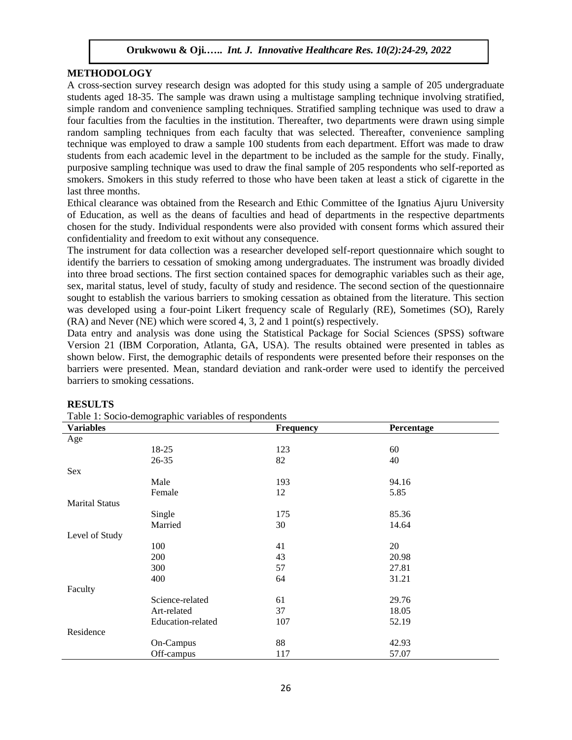## **Orukwowu & Oji***.***…..** *Int. J. Innovative Healthcare Res. 10(2):24-29, 2022*

## **METHODOLOGY**

A cross-section survey research design was adopted for this study using a sample of 205 undergraduate students aged 18-35. The sample was drawn using a multistage sampling technique involving stratified, simple random and convenience sampling techniques. Stratified sampling technique was used to draw a four faculties from the faculties in the institution. Thereafter, two departments were drawn using simple random sampling techniques from each faculty that was selected. Thereafter, convenience sampling technique was employed to draw a sample 100 students from each department. Effort was made to draw students from each academic level in the department to be included as the sample for the study. Finally, purposive sampling technique was used to draw the final sample of 205 respondents who self-reported as smokers. Smokers in this study referred to those who have been taken at least a stick of cigarette in the last three months.

Ethical clearance was obtained from the Research and Ethic Committee of the Ignatius Ajuru University of Education, as well as the deans of faculties and head of departments in the respective departments chosen for the study. Individual respondents were also provided with consent forms which assured their confidentiality and freedom to exit without any consequence.

The instrument for data collection was a researcher developed self-report questionnaire which sought to identify the barriers to cessation of smoking among undergraduates. The instrument was broadly divided into three broad sections. The first section contained spaces for demographic variables such as their age, sex, marital status, level of study, faculty of study and residence. The second section of the questionnaire sought to establish the various barriers to smoking cessation as obtained from the literature. This section was developed using a four-point Likert frequency scale of Regularly (RE), Sometimes (SO), Rarely (RA) and Never (NE) which were scored 4, 3, 2 and 1 point(s) respectively.

Data entry and analysis was done using the Statistical Package for Social Sciences (SPSS) software Version 21 (IBM Corporation, Atlanta, GA, USA). The results obtained were presented in tables as shown below. First, the demographic details of respondents were presented before their responses on the barriers were presented. Mean, standard deviation and rank-order were used to identify the perceived barriers to smoking cessations.

| Table 1: Socio-demographic variables of respondents |                   |                  |            |  |  |  |  |
|-----------------------------------------------------|-------------------|------------------|------------|--|--|--|--|
| <b>Variables</b>                                    |                   | <b>Frequency</b> | Percentage |  |  |  |  |
| Age                                                 |                   |                  |            |  |  |  |  |
|                                                     | 18-25             | 123              | 60         |  |  |  |  |
|                                                     | $26 - 35$         | 82               | 40         |  |  |  |  |
| Sex                                                 |                   |                  |            |  |  |  |  |
|                                                     | Male              | 193              | 94.16      |  |  |  |  |
|                                                     | Female            | 12               | 5.85       |  |  |  |  |
| <b>Marital Status</b>                               |                   |                  |            |  |  |  |  |
|                                                     | Single            | 175              | 85.36      |  |  |  |  |
|                                                     | Married           | 30               | 14.64      |  |  |  |  |
| Level of Study                                      |                   |                  |            |  |  |  |  |
|                                                     | 100               | 41               | 20         |  |  |  |  |
|                                                     | 200               | 43               | 20.98      |  |  |  |  |
|                                                     | 300               | 57               | 27.81      |  |  |  |  |
|                                                     | 400               | 64               | 31.21      |  |  |  |  |
| Faculty                                             |                   |                  |            |  |  |  |  |
|                                                     | Science-related   | 61               | 29.76      |  |  |  |  |
|                                                     | Art-related       | 37               | 18.05      |  |  |  |  |
|                                                     | Education-related | 107              | 52.19      |  |  |  |  |
| Residence                                           |                   |                  |            |  |  |  |  |
|                                                     | On-Campus         | 88               | 42.93      |  |  |  |  |
|                                                     | Off-campus        | 117              | 57.07      |  |  |  |  |

#### **RESULTS**

Table 1: Socio-demographic variables of respondents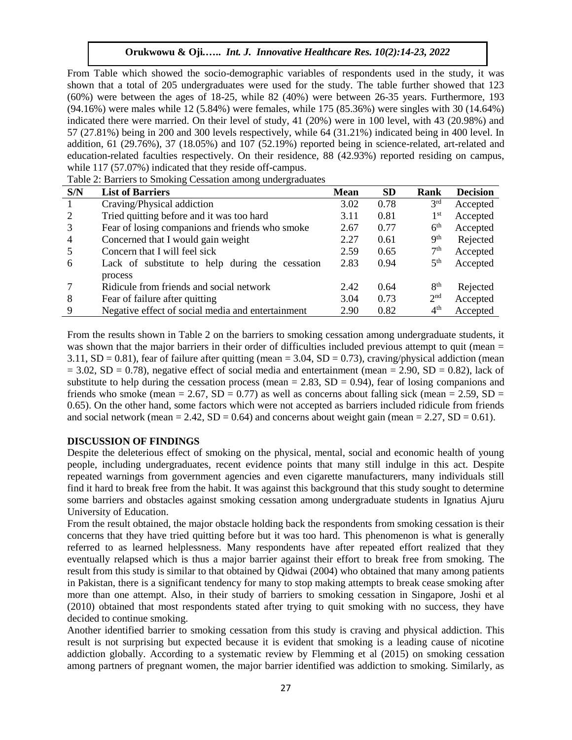# **Orukwowu & Oji***.***…..** *Int. J. Innovative Healthcare Res. 10(2):14-23, 2022*

From Table which showed the socio-demographic variables of respondents used in the study, it was shown that a total of 205 undergraduates were used for the study. The table further showed that 123 (60%) were between the ages of 18-25, while 82 (40%) were between 26-35 years. Furthermore, 193 (94.16%) were males while 12 (5.84%) were females, while 175 (85.36%) were singles with 30 (14.64%) indicated there were married. On their level of study, 41 (20%) were in 100 level, with 43 (20.98%) and 57 (27.81%) being in 200 and 300 levels respectively, while 64 (31.21%) indicated being in 400 level. In addition, 61 (29.76%), 37 (18.05%) and 107 (52.19%) reported being in science-related, art-related and education-related faculties respectively. On their residence, 88 (42.93%) reported residing on campus, while 117 (57.07%) indicated that they reside off-campus.

Table 2: Barriers to Smoking Cessation among undergraduates

| S/N            | <b>List of Barriers</b>                           | <b>Mean</b> | <b>SD</b> | <b>Rank</b>     | <b>Decision</b> |
|----------------|---------------------------------------------------|-------------|-----------|-----------------|-----------------|
|                | Craving/Physical addiction                        | 3.02        | 0.78      | 3 <sup>rd</sup> | Accepted        |
| 2              | Tried quitting before and it was too hard         | 3.11        | 0.81      | 1 <sup>st</sup> | Accepted        |
| 3              | Fear of losing companions and friends who smoke   | 2.67        | 0.77      | 6 <sup>th</sup> | Accepted        |
| $\overline{4}$ | Concerned that I would gain weight                | 2.27        | 0.61      | 9 <sup>th</sup> | Rejected        |
| -5             | Concern that I will feel sick                     | 2.59        | 0.65      | 7 <sup>th</sup> | Accepted        |
| 6              | Lack of substitute to help during the cessation   | 2.83        | 0.94      | 5 <sup>th</sup> | Accepted        |
|                | process                                           |             |           |                 |                 |
|                | Ridicule from friends and social network          | 2.42        | 0.64      | 8 <sup>th</sup> | Rejected        |
| 8              | Fear of failure after quitting                    | 3.04        | 0.73      | 2 <sup>nd</sup> | Accepted        |
| 9              | Negative effect of social media and entertainment | 2.90        | 0.82      | 4 <sup>th</sup> | Accepted        |

From the results shown in Table 2 on the barriers to smoking cessation among undergraduate students, it was shown that the major barriers in their order of difficulties included previous attempt to quit (mean = 3.11,  $SD = 0.81$ ), fear of failure after quitting (mean = 3.04,  $SD = 0.73$ ), craving/physical addiction (mean  $= 3.02$ , SD = 0.78), negative effect of social media and entertainment (mean = 2.90, SD = 0.82), lack of substitute to help during the cessation process (mean  $= 2.83$ , SD  $= 0.94$ ), fear of losing companions and friends who smoke (mean = 2.67,  $SD = 0.77$ ) as well as concerns about falling sick (mean = 2.59,  $SD =$ 0.65). On the other hand, some factors which were not accepted as barriers included ridicule from friends and social network (mean = 2.42,  $SD = 0.64$ ) and concerns about weight gain (mean = 2.27,  $SD = 0.61$ ).

#### **DISCUSSION OF FINDINGS**

Despite the deleterious effect of smoking on the physical, mental, social and economic health of young people, including undergraduates, recent evidence points that many still indulge in this act. Despite repeated warnings from government agencies and even cigarette manufacturers, many individuals still find it hard to break free from the habit. It was against this background that this study sought to determine some barriers and obstacles against smoking cessation among undergraduate students in Ignatius Ajuru University of Education.

From the result obtained, the major obstacle holding back the respondents from smoking cessation is their concerns that they have tried quitting before but it was too hard. This phenomenon is what is generally referred to as learned helplessness. Many respondents have after repeated effort realized that they eventually relapsed which is thus a major barrier against their effort to break free from smoking. The result from this study is similar to that obtained by Qidwai (2004) who obtained that many among patients in Pakistan, there is a significant tendency for many to stop making attempts to break cease smoking after more than one attempt. Also, in their study of barriers to smoking cessation in Singapore, Joshi et al (2010) obtained that most respondents stated after trying to quit smoking with no success, they have decided to continue smoking.

Another identified barrier to smoking cessation from this study is craving and physical addiction. This result is not surprising but expected because it is evident that smoking is a leading cause of nicotine addiction globally. According to a systematic review by Flemming et al (2015) on smoking cessation among partners of pregnant women, the major barrier identified was addiction to smoking. Similarly, as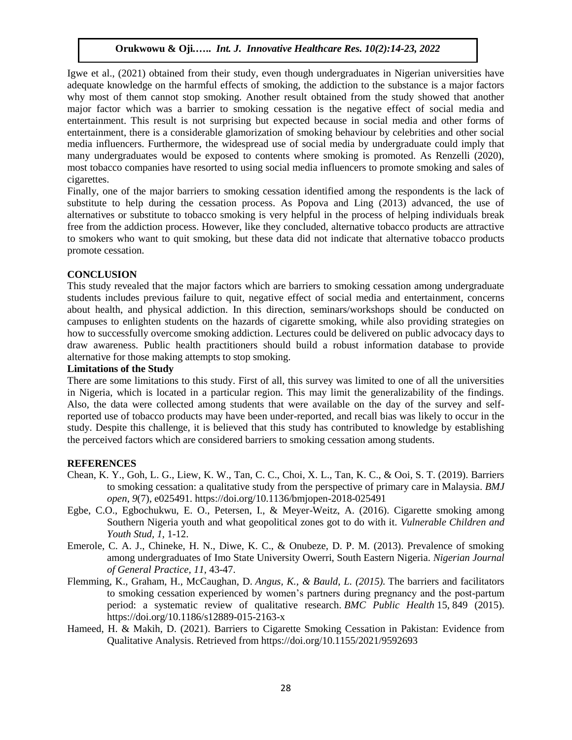# **Orukwowu & Oji***.***…..** *Int. J. Innovative Healthcare Res. 10(2):14-23, 2022*

Igwe et al., (2021) obtained from their study, even though undergraduates in Nigerian universities have adequate knowledge on the harmful effects of smoking, the addiction to the substance is a major factors why most of them cannot stop smoking. Another result obtained from the study showed that another major factor which was a barrier to smoking cessation is the negative effect of social media and entertainment. This result is not surprising but expected because in social media and other forms of entertainment, there is a considerable glamorization of smoking behaviour by celebrities and other social media influencers. Furthermore, the widespread use of social media by undergraduate could imply that many undergraduates would be exposed to contents where smoking is promoted. As Renzelli (2020), most tobacco companies have resorted to using social media influencers to promote smoking and sales of cigarettes.

Finally, one of the major barriers to smoking cessation identified among the respondents is the lack of substitute to help during the cessation process. As Popova and Ling (2013) advanced, the use of alternatives or substitute to tobacco smoking is very helpful in the process of helping individuals break free from the addiction process. However, like they concluded, alternative tobacco products are attractive to smokers who want to quit smoking, but these data did not indicate that alternative tobacco products promote cessation.

# **CONCLUSION**

This study revealed that the major factors which are barriers to smoking cessation among undergraduate students includes previous failure to quit, negative effect of social media and entertainment, concerns about health, and physical addiction. In this direction, seminars/workshops should be conducted on campuses to enlighten students on the hazards of cigarette smoking, while also providing strategies on how to successfully overcome smoking addiction. Lectures could be delivered on public advocacy days to draw awareness. Public health practitioners should build a robust information database to provide alternative for those making attempts to stop smoking.

#### **Limitations of the Study**

There are some limitations to this study. First of all, this survey was limited to one of all the universities in Nigeria, which is located in a particular region. This may limit the generalizability of the findings. Also, the data were collected among students that were available on the day of the survey and selfreported use of tobacco products may have been under-reported, and recall bias was likely to occur in the study. Despite this challenge, it is believed that this study has contributed to knowledge by establishing the perceived factors which are considered barriers to smoking cessation among students.

## **REFERENCES**

- Chean, K. Y., Goh, L. G., Liew, K. W., Tan, C. C., Choi, X. L., Tan, K. C., & Ooi, S. T. (2019). Barriers to smoking cessation: a qualitative study from the perspective of primary care in Malaysia. *BMJ open*, *9*(7), e025491. https://doi.org/10.1136/bmjopen-2018-025491
- Egbe, C.O., Egbochukwu, E. O., Petersen, I., & Meyer-Weitz, A. (2016). Cigarette smoking among Southern Nigeria youth and what geopolitical zones got to do with it. *Vulnerable Children and Youth Stud, 1*, 1-12.
- Emerole, C. A. J., Chineke, H. N., Diwe, K. C., & Onubeze, D. P. M. (2013). Prevalence of smoking among undergraduates of Imo State University Owerri, South Eastern Nigeria. *Nigerian Journal of General Practice, 11*, 43-47.
- Flemming, K., Graham, H., McCaughan, D. *Angus, K., & Bauld, L. (2015).* The barriers and facilitators to smoking cessation experienced by women's partners during pregnancy and the post-partum period: a systematic review of qualitative research. *BMC Public Health* 15, 849 (2015). https://doi.org/10.1186/s12889-015-2163-x
- Hameed, H. & Makih, D. (2021). Barriers to Cigarette Smoking Cessation in Pakistan: Evidence from Qualitative Analysis. Retrieved from https://doi.org/10.1155/2021/9592693